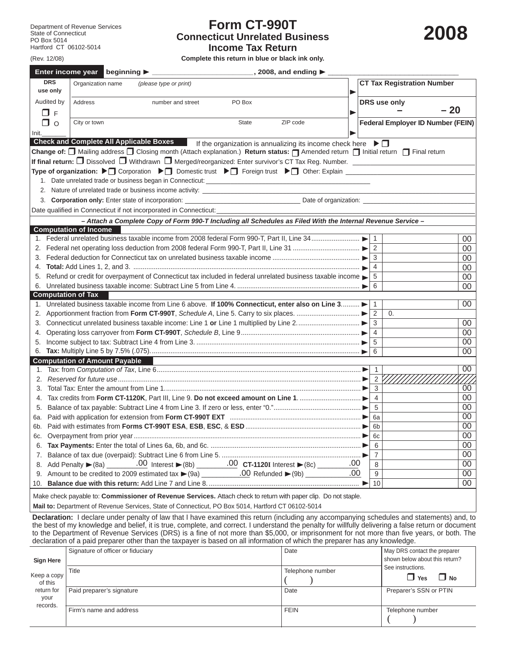(Rev. 12/08)

## **Form CT-990T Connecticut Unrelated Business Income Tax Return**

**2008**

**Complete this return in blue or black ink only.**

|       |                        | Enter income year beginning > __________<br>$\sim$ 2008, and ending $\blacktriangleright$                                                                                                 |                |                                          |        |
|-------|------------------------|-------------------------------------------------------------------------------------------------------------------------------------------------------------------------------------------|----------------|------------------------------------------|--------|
|       | <b>DRS</b><br>use only | Organization name<br>(please type or print)                                                                                                                                               |                | <b>CT Tax Registration Number</b>        |        |
|       | Audited by<br>ПЕ       | <b>Address</b><br>number and street<br>PO Box                                                                                                                                             |                | DRS use only<br>$-20$                    |        |
|       | □ ○                    | ZIP code<br>City or town<br><b>State</b>                                                                                                                                                  |                | <b>Federal Employer ID Number (FEIN)</b> |        |
| Init. |                        |                                                                                                                                                                                           |                |                                          |        |
|       |                        | Check and Complete All Applicable Boxes If the organization is annualizing its income check here $\blacktriangleright \Box$                                                               |                |                                          |        |
|       |                        | Change of: <sup>1</sup> Mailing address <sup>1</sup> Closing month (Attach explanation.) Return status: <sup>1</sup> Amended return <sup>1</sup> Initial return <sup>1</sup> Final return |                |                                          |        |
|       |                        | If final return: □ Dissolved □ Withdrawn □ Merged/reorganized: Enter survivor's CT Tax Reg. Number. ________________                                                                      |                |                                          |        |
|       |                        | Type of organization: ▶ Corporation ▶ Comestic trust ▶ Comestic trust ▶ Comestic Trust ▶ Comestic Trust A Comes                                                                           |                |                                          |        |
|       |                        | 1. Date unrelated trade or business began in Connecticut: ______________________                                                                                                          |                |                                          |        |
|       |                        | 2. Nature of unrelated trade or business income activity: _______________________                                                                                                         |                |                                          |        |
|       |                        |                                                                                                                                                                                           |                |                                          |        |
|       |                        | Date qualified in Connecticut if not incorporated in Connecticut:                                                                                                                         |                |                                          |        |
|       |                        | - Attach a Complete Copy of Form 990-T Including all Schedules as Filed With the Internal Revenue Service -                                                                               |                |                                          |        |
|       |                        | <b>Computation of Income</b>                                                                                                                                                              |                |                                          |        |
|       |                        | 1. Federal unrelated business taxable income from 2008 federal Form 990-T, Part II, Line 34                                                                                               | $\mathbf{1}$   |                                          | 00     |
|       |                        |                                                                                                                                                                                           | 2              |                                          | 00     |
|       |                        |                                                                                                                                                                                           | 3              |                                          | $00\,$ |
|       |                        |                                                                                                                                                                                           | 4              |                                          | 00     |
|       |                        | 5. Refund or credit for overpayment of Connecticut tax included in federal unrelated business taxable income                                                                              | 5              |                                          | 00     |
|       |                        |                                                                                                                                                                                           | 6              |                                          | 00     |
|       |                        | <b>Computation of Tax</b>                                                                                                                                                                 |                |                                          |        |
|       |                        | 1. Unrelated business taxable income from Line 6 above. If 100% Connecticut, enter also on Line 3                                                                                         | $\mathbf{1}$   |                                          | 00     |
|       |                        |                                                                                                                                                                                           | 2              | $\mathbf{0}$ .                           |        |
|       |                        |                                                                                                                                                                                           | 3              |                                          | 00     |
| 4.    |                        |                                                                                                                                                                                           | $\overline{4}$ |                                          | 00     |
|       |                        |                                                                                                                                                                                           | 5              |                                          | 00     |
|       |                        |                                                                                                                                                                                           | 6              |                                          | 00     |
|       |                        | <b>Computation of Amount Payable</b>                                                                                                                                                      |                |                                          |        |
|       |                        |                                                                                                                                                                                           | $\mathbf{1}$   |                                          | 00     |
| 2.    |                        |                                                                                                                                                                                           | 2 <sup>2</sup> |                                          |        |
| 3.    |                        |                                                                                                                                                                                           | 3              |                                          | 00     |
|       |                        |                                                                                                                                                                                           | $\overline{4}$ |                                          | 00     |
|       |                        |                                                                                                                                                                                           | 5              |                                          | 00     |
| 6а.   |                        |                                                                                                                                                                                           | 6a             |                                          | 00     |
| 6b.   |                        |                                                                                                                                                                                           | 6 <sub>b</sub> |                                          | 00     |
| 6c.   |                        |                                                                                                                                                                                           | 6c             |                                          | 00     |
|       |                        |                                                                                                                                                                                           | 6              |                                          | 00     |
| 7.    |                        |                                                                                                                                                                                           | $\overline{7}$ |                                          | 00     |
|       |                        |                                                                                                                                                                                           | 8              |                                          | 00     |
|       |                        | .00                                                                                                                                                                                       | 9              |                                          | 00     |
| 10.   |                        |                                                                                                                                                                                           | 10             |                                          | 00     |
|       |                        | Make check payable to: Commissioner of Revenue Services. Attach check to return with paper clip. Do not staple.                                                                           |                |                                          |        |

**Mail to:** Department of Revenue Services, State of Connecticut, PO Box 5014, Hartford CT 06102-5014

**Declaration:** I declare under penalty of law that I have examined this return (including any accompanying schedules and statements) and, to the best of my knowledge and belief, it is true, complete, and correct. I understand the penalty for willfully delivering a false return or document to the Department of Revenue Services (DRS) is a fine of not more than \$5,000, or imprisonment for not more than five years, or both. The declaration of a paid preparer other than the taxpayer is based on all information of which the preparer has any knowledge.

| Sign Here                      | Signature of officer or fiduciary | Date             | May DRS contact the preparer<br>shown below about this return? |  |  |
|--------------------------------|-----------------------------------|------------------|----------------------------------------------------------------|--|--|
| Keep a copy<br>of this         | Title                             | Telephone number | See instructions.<br>$\Box$ No<br>$\Box$ Yes                   |  |  |
| return for<br>your<br>records. | Paid preparer's signature         | Date             | Preparer's SSN or PTIN                                         |  |  |
|                                | Firm's name and address           | <b>FEIN</b>      | Telephone number                                               |  |  |